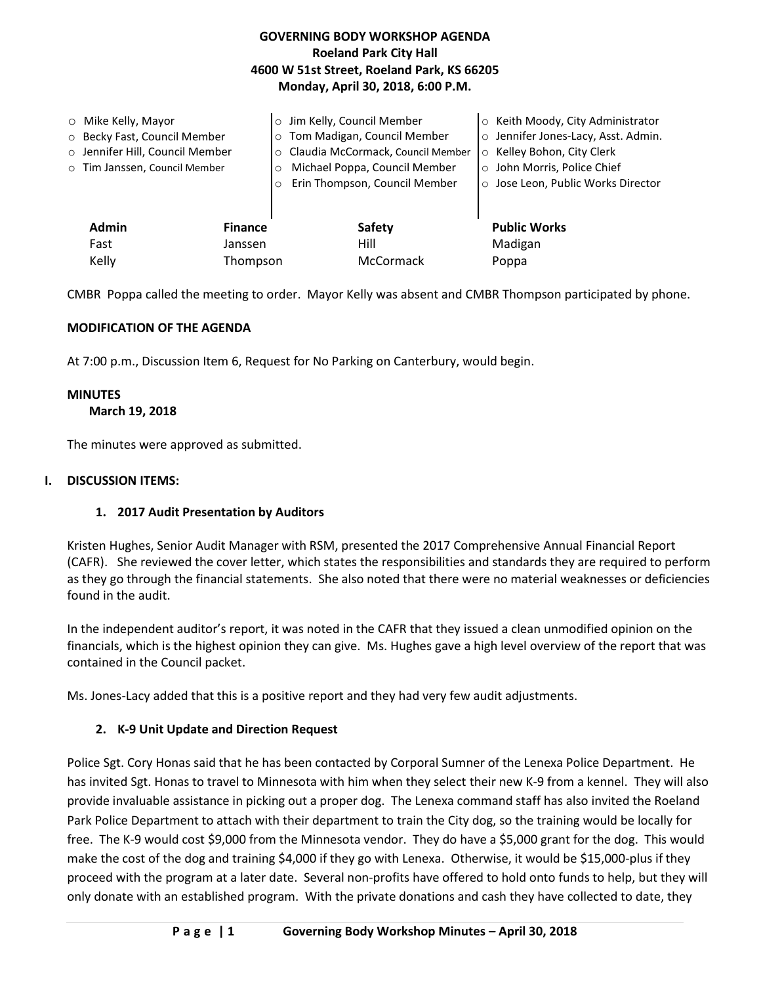## **GOVERNING BODY WORKSHOP AGENDA Roeland Park City Hall 4600 W 51st Street, Roeland Park, KS 66205 Monday, April 30, 2018, 6:00 P.M.**

|       | $\circ$ Mike Kelly, Mayor       |                | o Jim Kelly, Council Member         |         | ○ Keith Moody, City Administrator   |
|-------|---------------------------------|----------------|-------------------------------------|---------|-------------------------------------|
|       | ○ Becky Fast, Council Member    |                | o Tom Madigan, Council Member       |         | o Jennifer Jones-Lacy, Asst. Admin. |
|       | o Jennifer Hill, Council Member |                | o Claudia McCormack, Council Member | $\circ$ | Kelley Bohon, City Clerk            |
|       | o Tim Janssen, Council Member   |                | Michael Poppa, Council Member       |         | o John Morris, Police Chief         |
|       |                                 |                | Erin Thompson, Council Member       |         | o Jose Leon, Public Works Director  |
|       |                                 |                |                                     |         |                                     |
|       | Admin                           | <b>Finance</b> | <b>Safety</b>                       |         | <b>Public Works</b>                 |
|       | Fast                            | Janssen        | Hill                                |         | Madigan                             |
| Kelly |                                 | Thompson       | McCormack                           |         | Poppa                               |

CMBR Poppa called the meeting to order. Mayor Kelly was absent and CMBR Thompson participated by phone.

## **MODIFICATION OF THE AGENDA**

At 7:00 p.m., Discussion Item 6, Request for No Parking on Canterbury, would begin.

### **MINUTES**

### **March 19, 2018**

The minutes were approved as submitted.

### **I. DISCUSSION ITEMS:**

### **1. 2017 Audit Presentation by Auditors**

Kristen Hughes, Senior Audit Manager with RSM, presented the 2017 Comprehensive Annual Financial Report (CAFR). She reviewed the cover letter, which states the responsibilities and standards they are required to perform as they go through the financial statements. She also noted that there were no material weaknesses or deficiencies found in the audit.

In the independent auditor's report, it was noted in the CAFR that they issued a clean unmodified opinion on the financials, which is the highest opinion they can give. Ms. Hughes gave a high level overview of the report that was contained in the Council packet.

Ms. Jones-Lacy added that this is a positive report and they had very few audit adjustments.

## **2. K-9 Unit Update and Direction Request**

Police Sgt. Cory Honas said that he has been contacted by Corporal Sumner of the Lenexa Police Department. He has invited Sgt. Honas to travel to Minnesota with him when they select their new K-9 from a kennel. They will also provide invaluable assistance in picking out a proper dog. The Lenexa command staff has also invited the Roeland Park Police Department to attach with their department to train the City dog, so the training would be locally for free. The K-9 would cost \$9,000 from the Minnesota vendor. They do have a \$5,000 grant for the dog. This would make the cost of the dog and training \$4,000 if they go with Lenexa. Otherwise, it would be \$15,000-plus if they proceed with the program at a later date. Several non-profits have offered to hold onto funds to help, but they will only donate with an established program. With the private donations and cash they have collected to date, they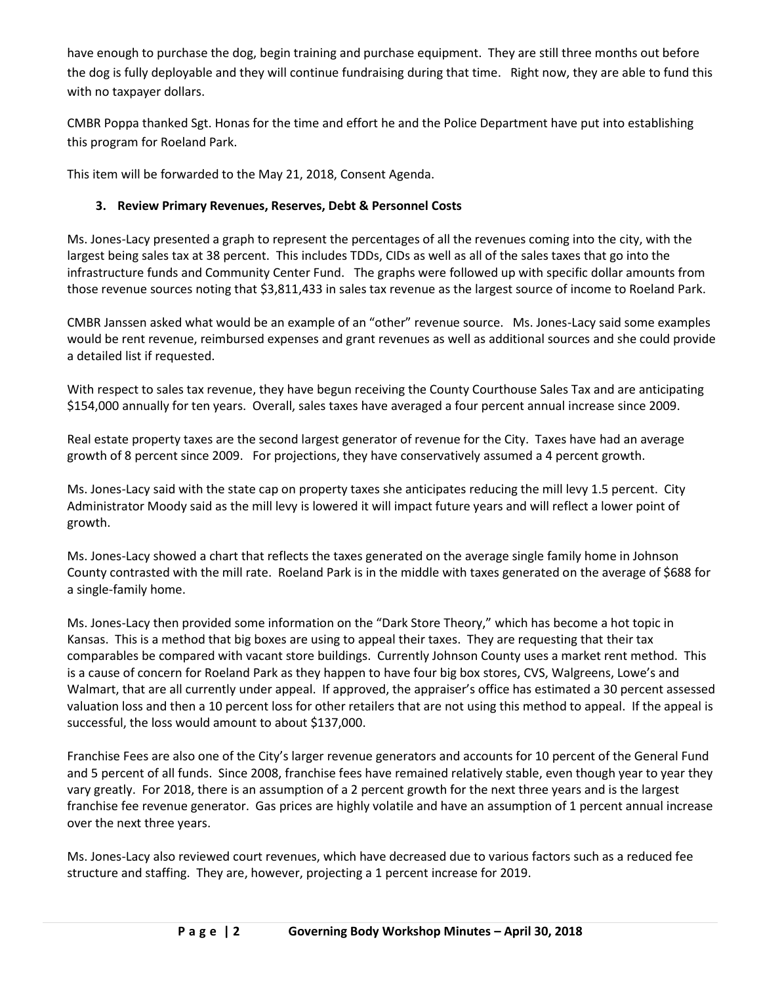have enough to purchase the dog, begin training and purchase equipment. They are still three months out before the dog is fully deployable and they will continue fundraising during that time. Right now, they are able to fund this with no taxpayer dollars.

CMBR Poppa thanked Sgt. Honas for the time and effort he and the Police Department have put into establishing this program for Roeland Park.

This item will be forwarded to the May 21, 2018, Consent Agenda.

# **3. Review Primary Revenues, Reserves, Debt & Personnel Costs**

Ms. Jones-Lacy presented a graph to represent the percentages of all the revenues coming into the city, with the largest being sales tax at 38 percent. This includes TDDs, CIDs as well as all of the sales taxes that go into the infrastructure funds and Community Center Fund. The graphs were followed up with specific dollar amounts from those revenue sources noting that \$3,811,433 in sales tax revenue as the largest source of income to Roeland Park.

CMBR Janssen asked what would be an example of an "other" revenue source. Ms. Jones-Lacy said some examples would be rent revenue, reimbursed expenses and grant revenues as well as additional sources and she could provide a detailed list if requested.

With respect to sales tax revenue, they have begun receiving the County Courthouse Sales Tax and are anticipating \$154,000 annually for ten years. Overall, sales taxes have averaged a four percent annual increase since 2009.

Real estate property taxes are the second largest generator of revenue for the City. Taxes have had an average growth of 8 percent since 2009. For projections, they have conservatively assumed a 4 percent growth.

Ms. Jones-Lacy said with the state cap on property taxes she anticipates reducing the mill levy 1.5 percent. City Administrator Moody said as the mill levy is lowered it will impact future years and will reflect a lower point of growth.

Ms. Jones-Lacy showed a chart that reflects the taxes generated on the average single family home in Johnson County contrasted with the mill rate. Roeland Park is in the middle with taxes generated on the average of \$688 for a single-family home.

Ms. Jones-Lacy then provided some information on the "Dark Store Theory," which has become a hot topic in Kansas. This is a method that big boxes are using to appeal their taxes. They are requesting that their tax comparables be compared with vacant store buildings. Currently Johnson County uses a market rent method. This is a cause of concern for Roeland Park as they happen to have four big box stores, CVS, Walgreens, Lowe's and Walmart, that are all currently under appeal. If approved, the appraiser's office has estimated a 30 percent assessed valuation loss and then a 10 percent loss for other retailers that are not using this method to appeal. If the appeal is successful, the loss would amount to about \$137,000.

Franchise Fees are also one of the City's larger revenue generators and accounts for 10 percent of the General Fund and 5 percent of all funds. Since 2008, franchise fees have remained relatively stable, even though year to year they vary greatly. For 2018, there is an assumption of a 2 percent growth for the next three years and is the largest franchise fee revenue generator. Gas prices are highly volatile and have an assumption of 1 percent annual increase over the next three years.

Ms. Jones-Lacy also reviewed court revenues, which have decreased due to various factors such as a reduced fee structure and staffing. They are, however, projecting a 1 percent increase for 2019.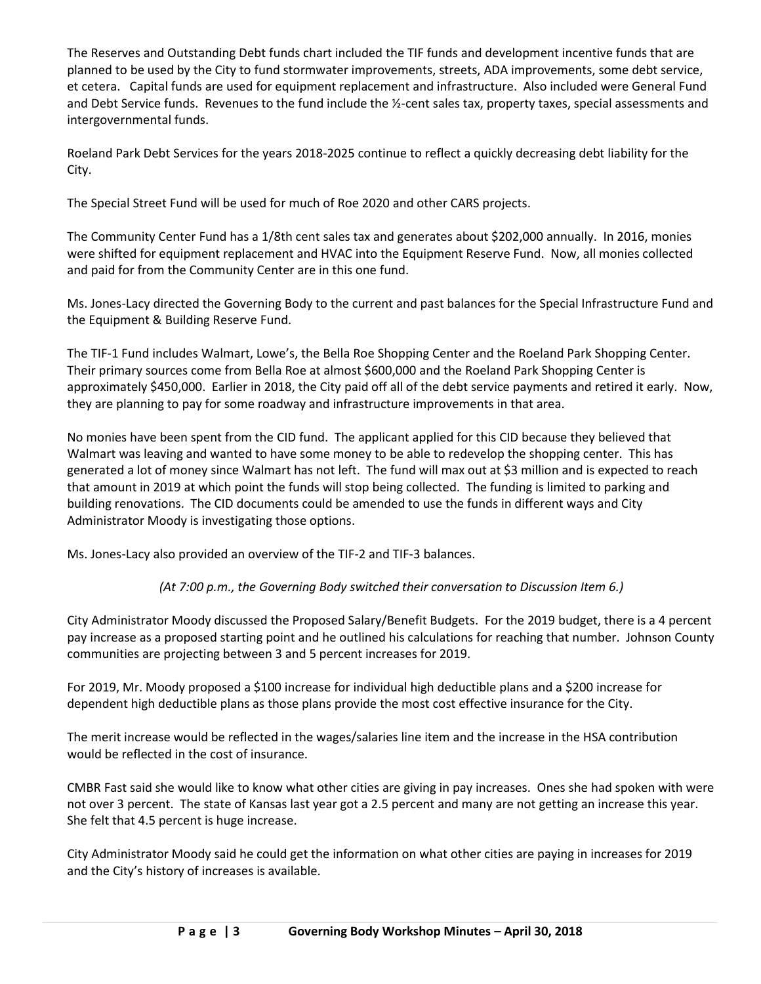The Reserves and Outstanding Debt funds chart included the TIF funds and development incentive funds that are planned to be used by the City to fund stormwater improvements, streets, ADA improvements, some debt service, et cetera. Capital funds are used for equipment replacement and infrastructure. Also included were General Fund and Debt Service funds. Revenues to the fund include the ½-cent sales tax, property taxes, special assessments and intergovernmental funds.

Roeland Park Debt Services for the years 2018-2025 continue to reflect a quickly decreasing debt liability for the City.

The Special Street Fund will be used for much of Roe 2020 and other CARS projects.

The Community Center Fund has a 1/8th cent sales tax and generates about \$202,000 annually. In 2016, monies were shifted for equipment replacement and HVAC into the Equipment Reserve Fund. Now, all monies collected and paid for from the Community Center are in this one fund.

Ms. Jones-Lacy directed the Governing Body to the current and past balances for the Special Infrastructure Fund and the Equipment & Building Reserve Fund.

The TIF-1 Fund includes Walmart, Lowe's, the Bella Roe Shopping Center and the Roeland Park Shopping Center. Their primary sources come from Bella Roe at almost \$600,000 and the Roeland Park Shopping Center is approximately \$450,000. Earlier in 2018, the City paid off all of the debt service payments and retired it early. Now, they are planning to pay for some roadway and infrastructure improvements in that area.

No monies have been spent from the CID fund. The applicant applied for this CID because they believed that Walmart was leaving and wanted to have some money to be able to redevelop the shopping center. This has generated a lot of money since Walmart has not left. The fund will max out at \$3 million and is expected to reach that amount in 2019 at which point the funds will stop being collected. The funding is limited to parking and building renovations. The CID documents could be amended to use the funds in different ways and City Administrator Moody is investigating those options.

Ms. Jones-Lacy also provided an overview of the TIF-2 and TIF-3 balances.

# *(At 7:00 p.m., the Governing Body switched their conversation to Discussion Item 6.)*

City Administrator Moody discussed the Proposed Salary/Benefit Budgets. For the 2019 budget, there is a 4 percent pay increase as a proposed starting point and he outlined his calculations for reaching that number. Johnson County communities are projecting between 3 and 5 percent increases for 2019.

For 2019, Mr. Moody proposed a \$100 increase for individual high deductible plans and a \$200 increase for dependent high deductible plans as those plans provide the most cost effective insurance for the City.

The merit increase would be reflected in the wages/salaries line item and the increase in the HSA contribution would be reflected in the cost of insurance.

CMBR Fast said she would like to know what other cities are giving in pay increases. Ones she had spoken with were not over 3 percent. The state of Kansas last year got a 2.5 percent and many are not getting an increase this year. She felt that 4.5 percent is huge increase.

City Administrator Moody said he could get the information on what other cities are paying in increases for 2019 and the City's history of increases is available.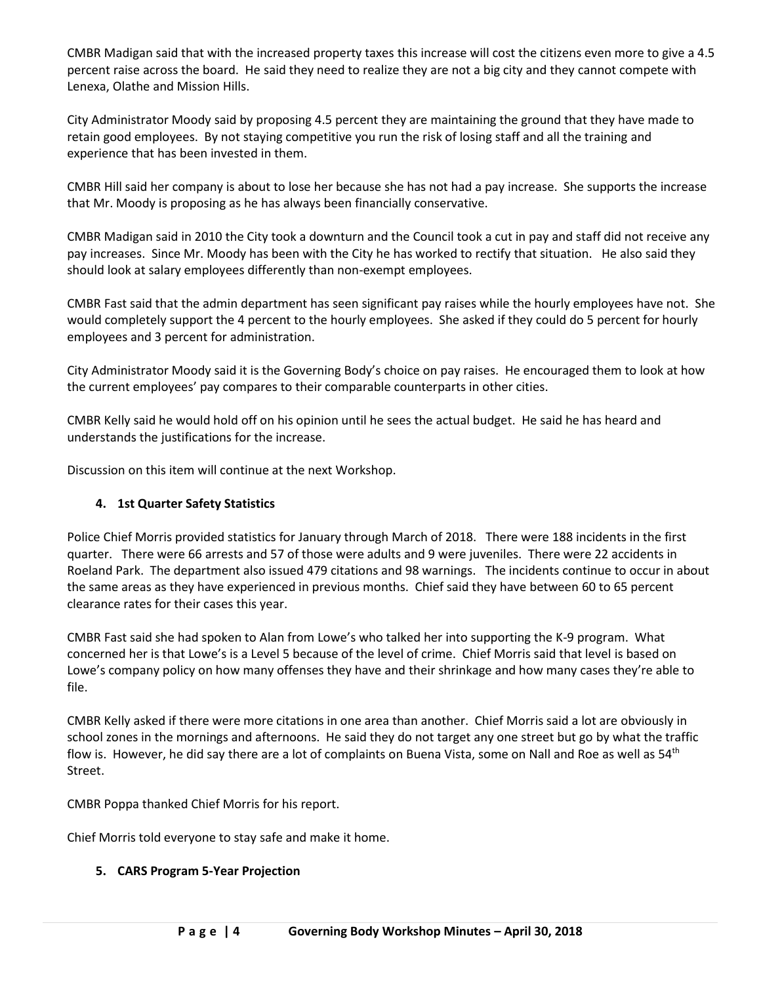CMBR Madigan said that with the increased property taxes this increase will cost the citizens even more to give a 4.5 percent raise across the board. He said they need to realize they are not a big city and they cannot compete with Lenexa, Olathe and Mission Hills.

City Administrator Moody said by proposing 4.5 percent they are maintaining the ground that they have made to retain good employees. By not staying competitive you run the risk of losing staff and all the training and experience that has been invested in them.

CMBR Hill said her company is about to lose her because she has not had a pay increase. She supports the increase that Mr. Moody is proposing as he has always been financially conservative.

CMBR Madigan said in 2010 the City took a downturn and the Council took a cut in pay and staff did not receive any pay increases. Since Mr. Moody has been with the City he has worked to rectify that situation. He also said they should look at salary employees differently than non-exempt employees.

CMBR Fast said that the admin department has seen significant pay raises while the hourly employees have not. She would completely support the 4 percent to the hourly employees. She asked if they could do 5 percent for hourly employees and 3 percent for administration.

City Administrator Moody said it is the Governing Body's choice on pay raises. He encouraged them to look at how the current employees' pay compares to their comparable counterparts in other cities.

CMBR Kelly said he would hold off on his opinion until he sees the actual budget. He said he has heard and understands the justifications for the increase.

Discussion on this item will continue at the next Workshop.

## **4. 1st Quarter Safety Statistics**

Police Chief Morris provided statistics for January through March of 2018. There were 188 incidents in the first quarter. There were 66 arrests and 57 of those were adults and 9 were juveniles. There were 22 accidents in Roeland Park. The department also issued 479 citations and 98 warnings. The incidents continue to occur in about the same areas as they have experienced in previous months. Chief said they have between 60 to 65 percent clearance rates for their cases this year.

CMBR Fast said she had spoken to Alan from Lowe's who talked her into supporting the K-9 program. What concerned her is that Lowe's is a Level 5 because of the level of crime. Chief Morris said that level is based on Lowe's company policy on how many offenses they have and their shrinkage and how many cases they're able to file.

CMBR Kelly asked if there were more citations in one area than another. Chief Morris said a lot are obviously in school zones in the mornings and afternoons. He said they do not target any one street but go by what the traffic flow is. However, he did say there are a lot of complaints on Buena Vista, some on Nall and Roe as well as  $54<sup>th</sup>$ Street.

CMBR Poppa thanked Chief Morris for his report.

Chief Morris told everyone to stay safe and make it home.

## **5. CARS Program 5-Year Projection**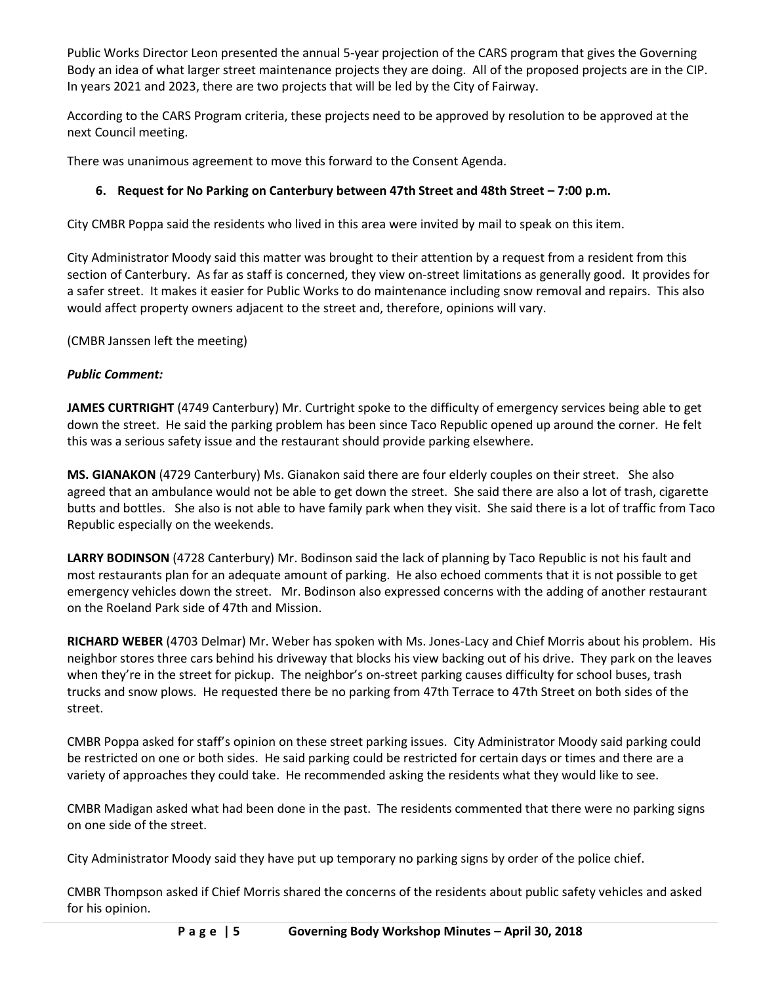Public Works Director Leon presented the annual 5-year projection of the CARS program that gives the Governing Body an idea of what larger street maintenance projects they are doing. All of the proposed projects are in the CIP. In years 2021 and 2023, there are two projects that will be led by the City of Fairway.

According to the CARS Program criteria, these projects need to be approved by resolution to be approved at the next Council meeting.

There was unanimous agreement to move this forward to the Consent Agenda.

# **6. Request for No Parking on Canterbury between 47th Street and 48th Street – 7:00 p.m.**

City CMBR Poppa said the residents who lived in this area were invited by mail to speak on this item.

City Administrator Moody said this matter was brought to their attention by a request from a resident from this section of Canterbury. As far as staff is concerned, they view on-street limitations as generally good. It provides for a safer street. It makes it easier for Public Works to do maintenance including snow removal and repairs. This also would affect property owners adjacent to the street and, therefore, opinions will vary.

(CMBR Janssen left the meeting)

## *Public Comment:*

**JAMES CURTRIGHT** (4749 Canterbury) Mr. Curtright spoke to the difficulty of emergency services being able to get down the street. He said the parking problem has been since Taco Republic opened up around the corner. He felt this was a serious safety issue and the restaurant should provide parking elsewhere.

**MS. GIANAKON** (4729 Canterbury) Ms. Gianakon said there are four elderly couples on their street. She also agreed that an ambulance would not be able to get down the street. She said there are also a lot of trash, cigarette butts and bottles. She also is not able to have family park when they visit. She said there is a lot of traffic from Taco Republic especially on the weekends.

**LARRY BODINSON** (4728 Canterbury) Mr. Bodinson said the lack of planning by Taco Republic is not his fault and most restaurants plan for an adequate amount of parking. He also echoed comments that it is not possible to get emergency vehicles down the street. Mr. Bodinson also expressed concerns with the adding of another restaurant on the Roeland Park side of 47th and Mission.

**RICHARD WEBER** (4703 Delmar) Mr. Weber has spoken with Ms. Jones-Lacy and Chief Morris about his problem. His neighbor stores three cars behind his driveway that blocks his view backing out of his drive. They park on the leaves when they're in the street for pickup. The neighbor's on-street parking causes difficulty for school buses, trash trucks and snow plows. He requested there be no parking from 47th Terrace to 47th Street on both sides of the street.

CMBR Poppa asked for staff's opinion on these street parking issues. City Administrator Moody said parking could be restricted on one or both sides. He said parking could be restricted for certain days or times and there are a variety of approaches they could take. He recommended asking the residents what they would like to see.

CMBR Madigan asked what had been done in the past. The residents commented that there were no parking signs on one side of the street.

City Administrator Moody said they have put up temporary no parking signs by order of the police chief.

CMBR Thompson asked if Chief Morris shared the concerns of the residents about public safety vehicles and asked for his opinion.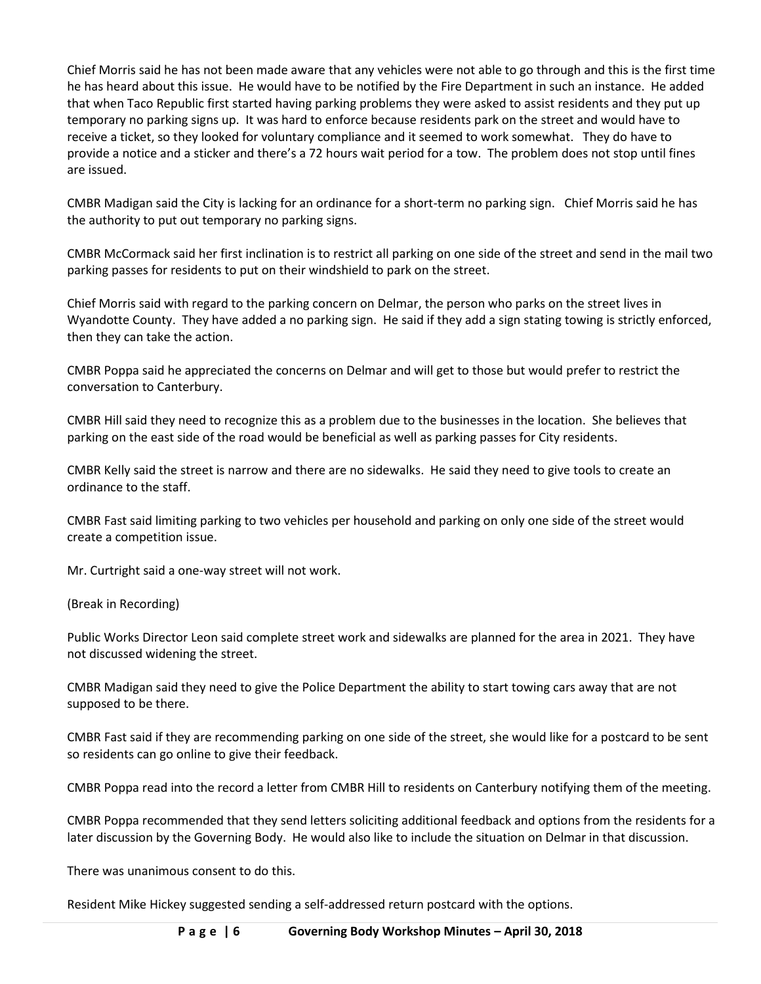Chief Morris said he has not been made aware that any vehicles were not able to go through and this is the first time he has heard about this issue. He would have to be notified by the Fire Department in such an instance. He added that when Taco Republic first started having parking problems they were asked to assist residents and they put up temporary no parking signs up. It was hard to enforce because residents park on the street and would have to receive a ticket, so they looked for voluntary compliance and it seemed to work somewhat. They do have to provide a notice and a sticker and there's a 72 hours wait period for a tow. The problem does not stop until fines are issued.

CMBR Madigan said the City is lacking for an ordinance for a short-term no parking sign. Chief Morris said he has the authority to put out temporary no parking signs.

CMBR McCormack said her first inclination is to restrict all parking on one side of the street and send in the mail two parking passes for residents to put on their windshield to park on the street.

Chief Morris said with regard to the parking concern on Delmar, the person who parks on the street lives in Wyandotte County. They have added a no parking sign. He said if they add a sign stating towing is strictly enforced, then they can take the action.

CMBR Poppa said he appreciated the concerns on Delmar and will get to those but would prefer to restrict the conversation to Canterbury.

CMBR Hill said they need to recognize this as a problem due to the businesses in the location. She believes that parking on the east side of the road would be beneficial as well as parking passes for City residents.

CMBR Kelly said the street is narrow and there are no sidewalks. He said they need to give tools to create an ordinance to the staff.

CMBR Fast said limiting parking to two vehicles per household and parking on only one side of the street would create a competition issue.

Mr. Curtright said a one-way street will not work.

(Break in Recording)

Public Works Director Leon said complete street work and sidewalks are planned for the area in 2021. They have not discussed widening the street.

CMBR Madigan said they need to give the Police Department the ability to start towing cars away that are not supposed to be there.

CMBR Fast said if they are recommending parking on one side of the street, she would like for a postcard to be sent so residents can go online to give their feedback.

CMBR Poppa read into the record a letter from CMBR Hill to residents on Canterbury notifying them of the meeting.

CMBR Poppa recommended that they send letters soliciting additional feedback and options from the residents for a later discussion by the Governing Body. He would also like to include the situation on Delmar in that discussion.

There was unanimous consent to do this.

Resident Mike Hickey suggested sending a self-addressed return postcard with the options.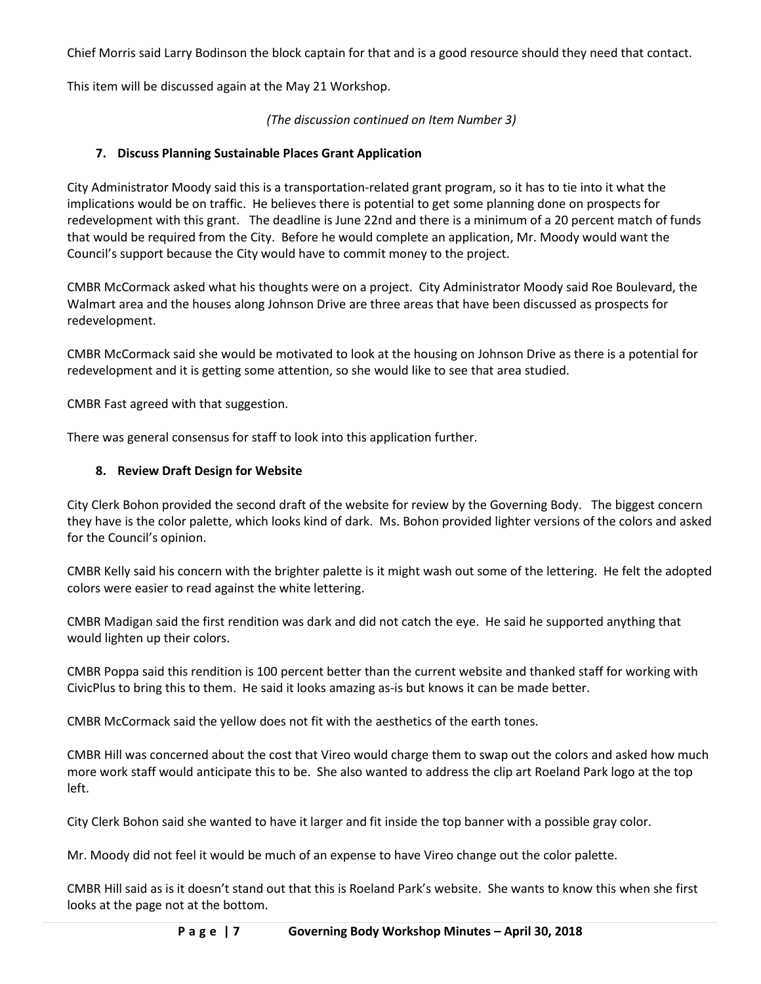Chief Morris said Larry Bodinson the block captain for that and is a good resource should they need that contact.

This item will be discussed again at the May 21 Workshop.

*(The discussion continued on Item Number 3)*

## **7. Discuss Planning Sustainable Places Grant Application**

City Administrator Moody said this is a transportation-related grant program, so it has to tie into it what the implications would be on traffic. He believes there is potential to get some planning done on prospects for redevelopment with this grant. The deadline is June 22nd and there is a minimum of a 20 percent match of funds that would be required from the City. Before he would complete an application, Mr. Moody would want the Council's support because the City would have to commit money to the project.

CMBR McCormack asked what his thoughts were on a project. City Administrator Moody said Roe Boulevard, the Walmart area and the houses along Johnson Drive are three areas that have been discussed as prospects for redevelopment.

CMBR McCormack said she would be motivated to look at the housing on Johnson Drive as there is a potential for redevelopment and it is getting some attention, so she would like to see that area studied.

CMBR Fast agreed with that suggestion.

There was general consensus for staff to look into this application further.

## **8. Review Draft Design for Website**

City Clerk Bohon provided the second draft of the website for review by the Governing Body. The biggest concern they have is the color palette, which looks kind of dark. Ms. Bohon provided lighter versions of the colors and asked for the Council's opinion.

CMBR Kelly said his concern with the brighter palette is it might wash out some of the lettering. He felt the adopted colors were easier to read against the white lettering.

CMBR Madigan said the first rendition was dark and did not catch the eye. He said he supported anything that would lighten up their colors.

CMBR Poppa said this rendition is 100 percent better than the current website and thanked staff for working with CivicPlus to bring this to them. He said it looks amazing as-is but knows it can be made better.

CMBR McCormack said the yellow does not fit with the aesthetics of the earth tones.

CMBR Hill was concerned about the cost that Vireo would charge them to swap out the colors and asked how much more work staff would anticipate this to be. She also wanted to address the clip art Roeland Park logo at the top left.

City Clerk Bohon said she wanted to have it larger and fit inside the top banner with a possible gray color.

Mr. Moody did not feel it would be much of an expense to have Vireo change out the color palette.

CMBR Hill said as is it doesn't stand out that this is Roeland Park's website. She wants to know this when she first looks at the page not at the bottom.